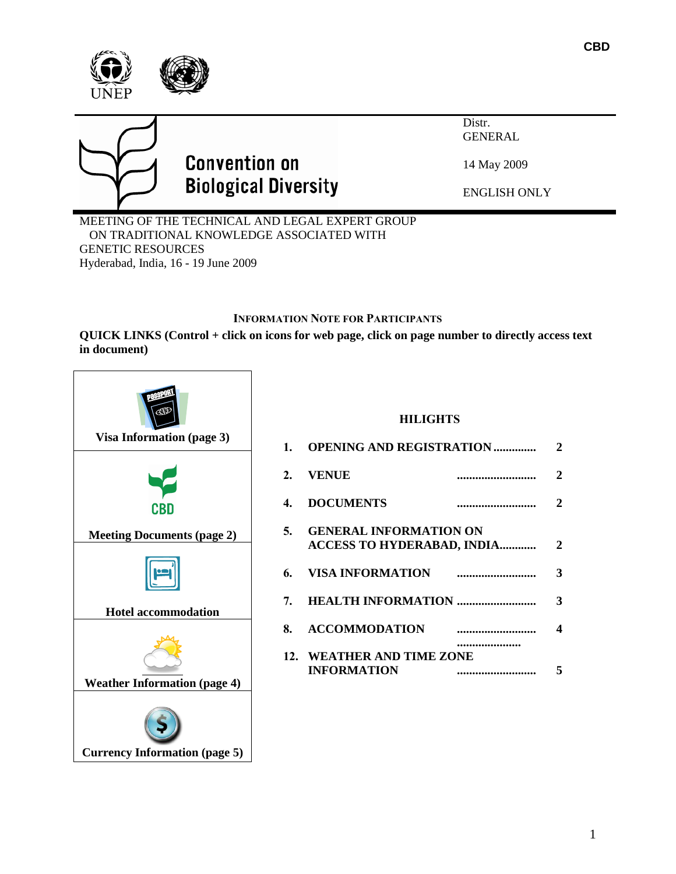



# **Convention on Biological Diversity**

GENERAL

Distr.

14 May 2009

ENGLISH ONLY

MEETING OF THE TECHNICAL AND LEGAL EXPERT GROUP ON TRADITIONAL KNOWLEDGE ASSOCIATED WITH GENETIC RESOURCES Hyderabad, India, 16 - 19 June 2009

# **INFORMATION NOTE FOR PARTICIPANTS**

**QUICK LINKS (Control + click on icons for web page, click on page number to directly access text in document)**



## **HILIGHTS**

| 2. VENUE                                                       |      | $\overline{2}$          |
|----------------------------------------------------------------|------|-------------------------|
| 4. DOCUMENTS                                                   |      | $\overline{2}$          |
| 5. GENERAL INFORMATION ON<br><b>ACCESS TO HYDERABAD, INDIA</b> |      | $\overline{2}$          |
|                                                                |      | $\overline{\mathbf{3}}$ |
|                                                                |      | $\overline{\mathbf{3}}$ |
| 8. ACCOMMODATION                                               |      | $\overline{\mathbf{4}}$ |
| 12. WEATHER AND TIME ZONE<br><b>INFORMATION</b>                | <br> | 5                       |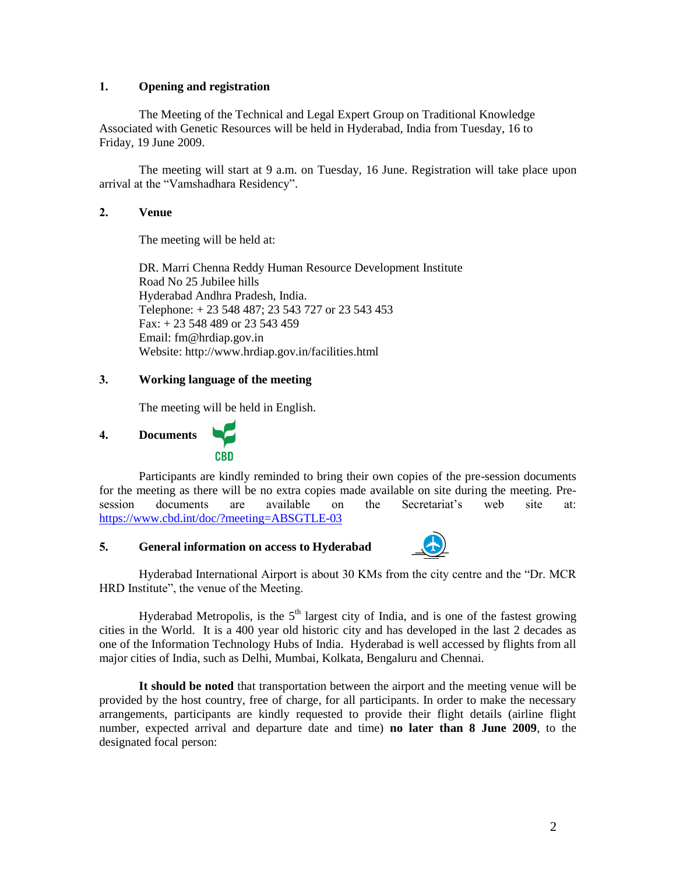#### **1. Opening and registration**

The Meeting of the Technical and Legal Expert Group on Traditional Knowledge Associated with Genetic Resources will be held in Hyderabad, India from Tuesday, 16 to Friday, 19 June 2009.

The meeting will start at 9 a.m. on Tuesday, 16 June. Registration will take place upon arrival at the "Vamshadhara Residency".

#### **2. Venue**

The meeting will be held at:

DR. Marri Chenna Reddy Human Resource Development Institute Road No 25 Jubilee hills Hyderabad Andhra Pradesh, India. Telephone: + 23 548 487; 23 543 727 or 23 543 453 Fax: + 23 548 489 or 23 543 459 Email: [fm@hrdiap.gov.in](mailto:fm@hrdiap.gov.in) Website[: http://www.hrdiap.gov.in/facilities.html](http://www.hrdiap.gov.in/facilities.html)

#### **3. Working language of the meeting**

The meeting will be held in English.

# <span id="page-1-0"></span>**4. Documents**



Participants are kindly reminded to bring their own copies of the pre-session documents for the meeting as there will be no extra copies made available on site during the meeting. Presession documents are available on the Secretariat's web site at: [https://www.cbd.int/doc/?meeting=ABSGTLE-03](https://www.cbd.int/doc/?meeting=ABSGTLE-03%20)

#### **5. General information on access to Hyderabad**



Hyderabad International Airport is about 30 KMs from the city centre and the "Dr. MCR HRD Institute", the venue of the Meeting.

Hyderabad Metropolis, is the  $5<sup>th</sup>$  largest city of India, and is one of the fastest growing cities in the World. It is a 400 year old historic city and has developed in the last 2 decades as one of the Information Technology Hubs of India. Hyderabad is well accessed by flights from all major cities of India, such as Delhi, Mumbai, Kolkata, Bengaluru and Chennai.

**It should be noted** that transportation between the airport and the meeting venue will be provided by the host country, free of charge, for all participants. In order to make the necessary arrangements, participants are kindly requested to provide their flight details (airline flight number, expected arrival and departure date and time) **no later than 8 June 2009**, to the designated focal person: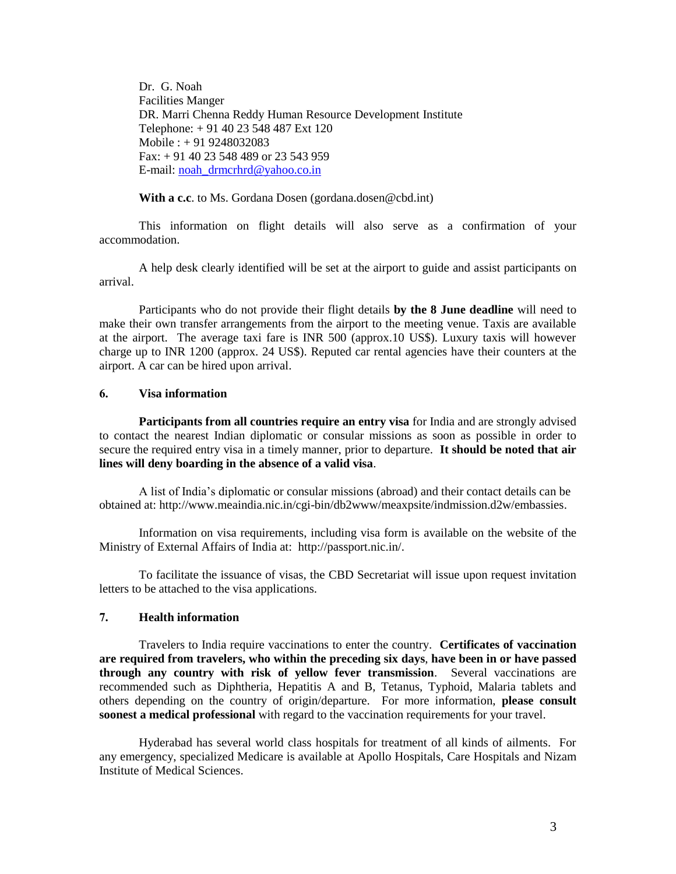Dr. G. Noah Facilities Manger DR. Marri Chenna Reddy Human Resource Development Institute Telephone: + 91 40 23 548 487 Ext 120 Mobile : + 91 9248032083 Fax: + 91 40 23 548 489 or 23 543 959 E-mail: [noah\\_drmcrhrd@yahoo.co.in](mailto:noah_drmcrhrd@yahoo.co.in)

**With a c.c**. to Ms. Gordana Dosen (gordana.dosen@cbd.int)

This information on flight details will also serve as a confirmation of your accommodation.

A help desk clearly identified will be set at the airport to guide and assist participants on arrival.

Participants who do not provide their flight details **by the 8 June deadline** will need to make their own transfer arrangements from the airport to the meeting venue. Taxis are available at the airport. The average taxi fare is INR 500 (approx.10 US\$). Luxury taxis will however charge up to INR 1200 (approx. 24 US\$). Reputed car rental agencies have their counters at the airport. A car can be hired upon arrival.

#### <span id="page-2-0"></span>**6. Visa information**

**Participants from all countries require an entry visa** for India and are strongly advised to contact the nearest Indian diplomatic or consular missions as soon as possible in order to secure the required entry visa in a timely manner, prior to departure. **It should be noted that air lines will deny boarding in the absence of a valid visa**.

A list of India's diplomatic or consular missions (abroad) and their contact details can be obtained at: [http://www.meaindia.nic.in/cgi-bin/db2www/meaxpsite/indmission.d2w/embassies.](http://www.meaindia.nic.in/cgi-bin/db2www/meaxpsite/indmission.d2w/embassies)

Information on visa requirements, including visa form is available on the website of the Ministry of External Affairs of India at: [http://passport.nic.in/.](http://passport.nic.in/)

To facilitate the issuance of visas, the CBD Secretariat will issue upon request invitation letters to be attached to the visa applications.

#### **7. Health information**

Travelers to India require vaccinations to enter the country. **Certificates of vaccination are required from travelers, who within the preceding six days**, **have been in or have passed through any country with risk of yellow fever transmission**. Several vaccinations are recommended such as Diphtheria, Hepatitis A and B, Tetanus, Typhoid, Malaria tablets and others depending on the country of origin/departure. For more information, **please consult soonest a medical professional** with regard to the vaccination requirements for your travel.

Hyderabad has several world class hospitals for treatment of all kinds of ailments. For any emergency, specialized Medicare is available at Apollo Hospitals, Care Hospitals and Nizam Institute of Medical Sciences.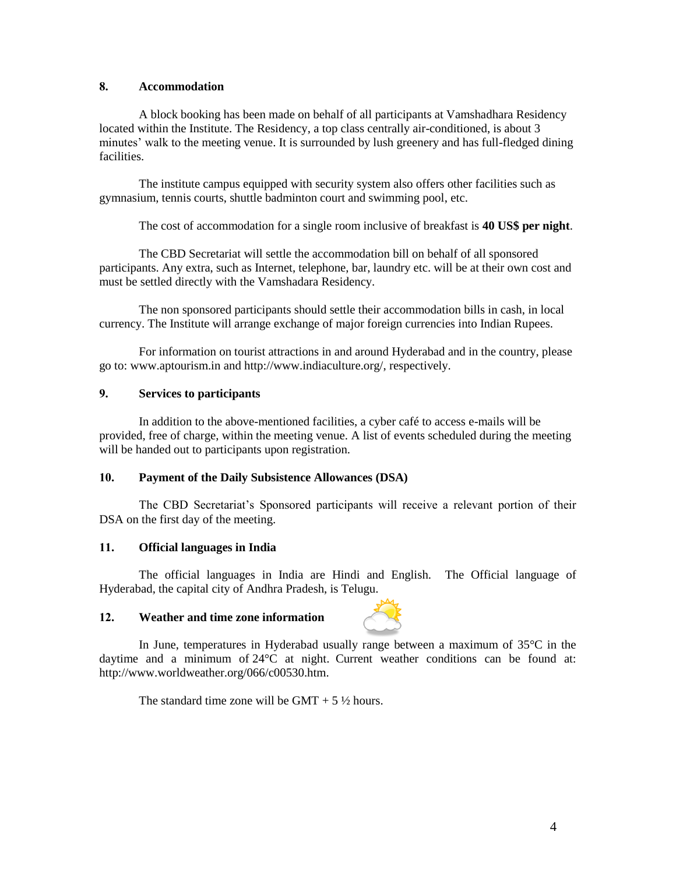### <span id="page-3-0"></span>**8. Accommodation**

A block booking has been made on behalf of all participants at Vamshadhara Residency located within the Institute. The Residency, a top class centrally air-conditioned, is about 3 minutes' walk to the meeting venue. It is surrounded by lush greenery and has full-fledged dining facilities.

The institute campus equipped with security system also offers other facilities such as gymnasium, tennis courts, shuttle badminton court and swimming pool, etc.

The cost of accommodation for a single room inclusive of breakfast is **40 US\$ per night**.

The CBD Secretariat will settle the accommodation bill on behalf of all sponsored participants. Any extra, such as Internet, telephone, bar, laundry etc. will be at their own cost and must be settled directly with the Vamshadara Residency.

The non sponsored participants should settle their accommodation bills in cash, in local currency. The Institute will arrange exchange of major foreign currencies into Indian Rupees.

For information on tourist attractions in and around Hyderabad and in the country, please go to: [www.aptourism.in](../../../../../../AppData/Local/Microsoft/Windows/Temporary%20Internet%20Files/OLKF67A/www.aptourism.in) and [http://www.indiaculture.org/,](http://www.indiaculture.org/) respectively.

#### **9. Services to participants**

In addition to the above-mentioned facilities, a cyber café to access e-mails will be provided, free of charge, within the meeting venue. A list of events scheduled during the meeting will be handed out to participants upon registration.

#### **10. Payment of the Daily Subsistence Allowances (DSA)**

The CBD Secretariat's Sponsored participants will receive a relevant portion of their DSA on the first day of the meeting.

#### **11. Official languages in India**

The official languages in India are Hindi and English. The Official language of Hyderabad, the capital city of Andhra Pradesh, is Telugu.

#### **12. Weather and time zone information**



In June, temperatures in Hyderabad usually range between a maximum of 35°C in the daytime and a minimum of 24°C at night. Current weather conditions can be found at: [http://www.worldweather.org/066/c00530.htm.](http://www.worldweather.org/066/c00530.htm)

The standard time zone will be  $GMT + 5\frac{1}{2}$  hours.